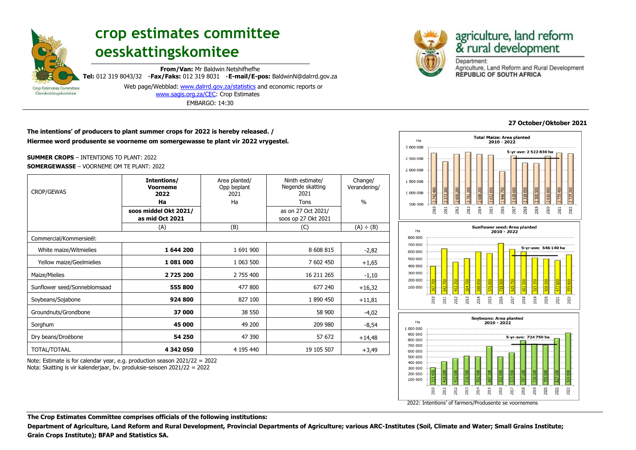

# **crop estimates committee oesskattingskomitee**

**From/Van:** Mr Baldwin Netshifhefhe **Tel:** 012 319 8043/32 **Fax/Faks:** 012 319 8031 **E-mail/E-pos:** BaldwinN@dalrrd.gov.za Web page/Webblad: [www.dalrrd.gov.za/statistics](http://www.dalrrd.gov.za/statistics) and economic reports or

[www.sagis.org.za/CEC:](http://www.sagis.org.za/CEC) Crop Estimates EMBARGO: 14:30

# **The intentions' of producers to plant summer crops for 2022 is hereby released. / Hiermee word produsente se voorneme om somergewasse te plant vir 2022 vrygestel.**

**SUMMER CROPS** – INTENTIONS TO PLANT: 2022 **SOMERGEWASSE** – VOORNEME OM TE PLANT: 2022

| <b>CROP/GEWAS</b>            | Intentions/<br><b>Voorneme</b><br>2022   | Area planted/<br>Opp beplant<br>2021 | Ninth estimate/<br>Negende skatting<br>2021 | Change/<br>Verandering/ |
|------------------------------|------------------------------------------|--------------------------------------|---------------------------------------------|-------------------------|
|                              | Ha                                       | Ha                                   | Tons                                        | $\frac{0}{0}$           |
|                              | soos middel Okt 2021/<br>as mid Oct 2021 |                                      | as on 27 Oct 2021/<br>soos op 27 Okt 2021   |                         |
|                              | (A)                                      | (B)                                  | (C)                                         | (A) ÷ (B)               |
| Commercial/Kommersieël:      |                                          |                                      |                                             |                         |
| White maize/Witmielies       | 1644 200                                 | 1 691 900                            | 8 608 815                                   | $-2,82$                 |
| Yellow maize/Geelmielies     | 1081000                                  | 1 063 500                            | 7 602 450                                   | $+1,65$                 |
| Maize/Mielies                | 2725200                                  | 2 755 400                            | 16 211 265                                  | $-1,10$                 |
| Sunflower seed/Sonneblomsaad | 555 800                                  | 477 800                              | 677 240                                     | $+16,32$                |
| Soybeans/Sojabone            | 924 800                                  | 827 100                              | 1 890 450                                   | $+11,81$                |
| Groundnuts/Grondbone         | 37 000                                   | 38 550                               | 58 900                                      | $-4,02$                 |
| Sorghum                      | 45 000                                   | 49 200                               | 209 980                                     | $-8,54$                 |
| Dry beans/Droëbone           | 54 250                                   | 47 390                               | 57 672                                      | $+14,48$                |
| TOTAL/TOTAAL                 | 4342050                                  | 4 195 440                            | 19 105 507                                  | $+3,49$                 |

Note: Estimate is for calendar year, e.g. production season 2021/22 = 2022 Nota: Skatting is vir kalenderjaar, bv. produksie-seisoen 2021/22 = 2022



# agriculture, land reform<br>& rural development

Department: Agriculture, Land Reform and Rural Development **REPUBLIC OF SOUTH AFRICA** 

# **27 October/Oktober 2021**

021



2022: Intentions' of farmers/Produsente se voornemens

2012 2013  $n<sub>014</sub>$ 2015 2016  $\overline{017}$ 018

**The Crop Estimates Committee comprises officials of the following institutions:**

**Department of Agriculture, Land Reform and Rural Development, Provincial Departments of Agriculture; various ARC-Institutes (Soil, Climate and Water; Small Grains Institute; Grain Crops Institute); BFAP and Statistics SA.**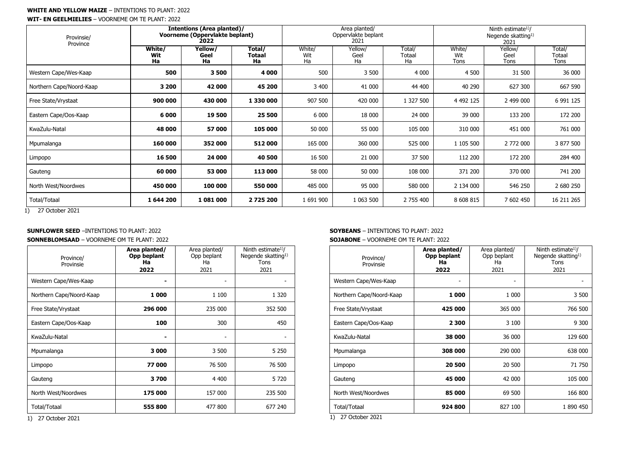#### **WHITE AND YELLOW MAIZE** – INTENTIONS TO PLANT: 2022

**WIT- EN GEELMIELIES** – VOORNEME OM TE PLANT: 2022

| Provinsie/<br>Province   | Intentions (Area planted)/<br>Voorneme (Oppervlakte beplant)<br>2022 |                       |                        | Area planted/<br>Oppervlakte beplant<br>2021 |                       |                               | Ninth estimate <sup>1</sup> )/<br>Negende skatting <sup>1)</sup><br>2021 |                         |                          |
|--------------------------|----------------------------------------------------------------------|-----------------------|------------------------|----------------------------------------------|-----------------------|-------------------------------|--------------------------------------------------------------------------|-------------------------|--------------------------|
|                          | White/<br><b>Wit</b><br>Ha                                           | Yellow/<br>Geel<br>Ha | Total/<br>Totaal<br>Ha | White/<br>Wit<br>Ha                          | Yellow/<br>Geel<br>Ha | Total/<br><b>Totaal</b><br>Ha | White/<br>Wit<br>Tons                                                    | Yellow/<br>Geel<br>Tons | Total/<br>Totaal<br>Tons |
| Western Cape/Wes-Kaap    | 500                                                                  | 3500                  | 4 0 0 0                | 500                                          | 3 500                 | 4 0 0 0                       | 4 500                                                                    | 31 500                  | 36 000                   |
| Northern Cape/Noord-Kaap | 3 200                                                                | 42 000                | 45 200                 | 3 400                                        | 41 000                | 44 400                        | 40 290                                                                   | 627 300                 | 667 590                  |
| Free State/Vrystaat      | 900 000                                                              | 430 000               | 1 330 000              | 907 500                                      | 420 000               | 1 327 500                     | 4 4 9 2 1 2 5                                                            | 2 499 000               | 6 991 125                |
| Eastern Cape/Oos-Kaap    | 6 0 0 0                                                              | 19 500                | 25 500                 | 6 0 0 0                                      | 18 000                | 24 000                        | 39 000                                                                   | 133 200                 | 172 200                  |
| KwaZulu-Natal            | 48 000                                                               | 57 000                | 105 000                | 50 000                                       | 55 000                | 105 000                       | 310 000                                                                  | 451 000                 | 761 000                  |
| Mpumalanga               | 160 000                                                              | 352 000               | 512000                 | 165 000                                      | 360 000               | 525 000                       | 1 105 500                                                                | 2 772 000               | 3 877 500                |
| Limpopo                  | 16 500                                                               | 24 000                | 40 500                 | 16 500                                       | 21 000                | 37 500                        | 112 200                                                                  | 172 200                 | 284 400                  |
| Gauteng                  | 60 000                                                               | 53 000                | 113 000                | 58 000                                       | 50 000                | 108 000                       | 371 200                                                                  | 370 000                 | 741 200                  |
| North West/Noordwes      | 450 000                                                              | 100 000               | 550 000                | 485 000                                      | 95 000                | 580 000                       | 2 134 000                                                                | 546 250                 | 2 680 250                |
| <b>Total/Totaal</b>      | 1644 200                                                             | 1081000               | 2725200                | 1 691 900                                    | 1 063 500             | 2 755 400                     | 8 608 815                                                                | 7 602 450               | 16 211 265               |

1) 27 October 2021

## **SUNFLOWER SEED** –INTENTIONS TO PLANT: 2022

**SONNEBLOMSAAD** – VOORNEME OM TE PLANT: 2022

| Province/<br>Provinsie   | Area planted/<br>Opp beplant<br>Ha<br>2022 | Area planted/<br>Opp beplant<br>Ha<br>2021 | Ninth estimate <sup>1</sup> /<br>Negende skatting <sup>1)</sup><br>Tons<br>2021 |
|--------------------------|--------------------------------------------|--------------------------------------------|---------------------------------------------------------------------------------|
| Western Cape/Wes-Kaap    |                                            |                                            |                                                                                 |
| Northern Cape/Noord-Kaap | 1 000                                      | 1 100                                      | 1 3 2 0                                                                         |
| Free State/Vrystaat      | 296 000                                    | 235 000                                    | 352 500                                                                         |
| Eastern Cape/Oos-Kaap    | 100                                        | 300                                        | 450                                                                             |
| KwaZulu-Natal            |                                            | $\qquad \qquad \blacksquare$               |                                                                                 |
| Mpumalanga               | 3 000                                      | 3 500                                      | 5 2 5 0                                                                         |
| Limpopo                  | 77000                                      | 76 500                                     | 76 500                                                                          |
| Gauteng                  | 3700                                       | 4 4 0 0                                    | 5 7 2 0                                                                         |
| North West/Noordwes      | 175 000                                    | 157 000                                    | 235 500                                                                         |
| <b>Total/Totaal</b>      | 555 800                                    | 477 800                                    | 677 240                                                                         |

1) 27 October 2021

**SOYBEANS** – INTENTIONS TO PLANT: 2022

#### **SOJABONE** – VOORNEME OM TE PLANT: 2022

| Province/<br>Provinsie   | Area planted/<br>Opp beplant<br>Ha<br>2022 | Area planted/<br>Opp beplant<br>Ha<br>2021 | Ninth estimate <sup>1</sup> )/<br>Negende skatting <sup>1)</sup><br>Tons<br>2021 |  |
|--------------------------|--------------------------------------------|--------------------------------------------|----------------------------------------------------------------------------------|--|
| Western Cape/Wes-Kaap    |                                            |                                            |                                                                                  |  |
| Northern Cape/Noord-Kaap | 1000                                       | 1 000                                      | 3 500                                                                            |  |
| Free State/Vrystaat      | 425 000                                    | 365 000                                    | 766 500                                                                          |  |
| Eastern Cape/Oos-Kaap    | 2 300                                      | 3 100                                      | 9 300                                                                            |  |
| KwaZulu-Natal            | 38 000                                     | 36 000                                     | 129 600                                                                          |  |
| Mpumalanga               | 308 000                                    | 290 000                                    | 638 000                                                                          |  |
| Limpopo                  | 20 500                                     | 20 500                                     | 71 750                                                                           |  |
| Gauteng                  | 45 000                                     | 42 000                                     | 105 000                                                                          |  |
| North West/Noordwes      | 85 000                                     | 69 500                                     | 166 800                                                                          |  |
| Total/Totaal             | 924 800                                    | 827 100                                    | 1 890 450                                                                        |  |

1) 27 October 2021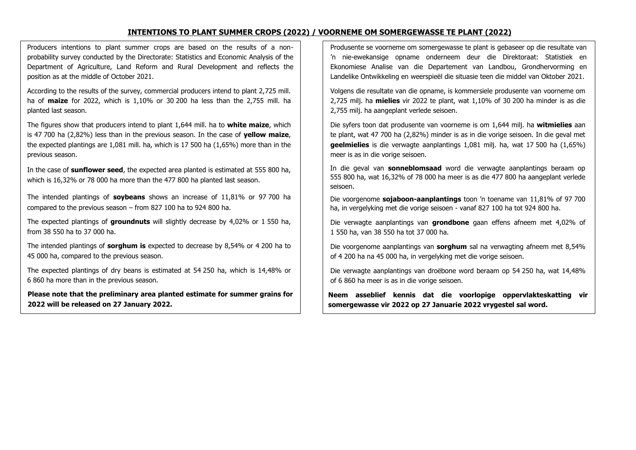# **INTENTIONS TO PLANT SUMMER CROPS (2022) / VOORNEME OM SOMERGEWASSE TE PLANT (2022)**

Producers intentions to plant summer crops are based on the results of a nonprobability survey conducted by the Directorate: Statistics and Economic Analysis of the Department of Agriculture, Land Reform and Rural Development and reflects the position as at the middle of October 2021.

According to the results of the survey, commercial producers intend to plant 2,725 mill. ha of **maize** for 2022, which is 1,10% or 30 200 ha less than the 2,755 mill. ha planted last season.

The figures show that producers intend to plant 1,644 mill. ha to **white maize**, which is 47 700 ha (2,82%) less than in the previous season. In the case of **yellow maize**, the expected plantings are 1,081 mill. ha, which is 17 500 ha (1,65%) more than in the previous season.

In the case of **sunflower seed**, the expected area planted is estimated at 555 800 ha, which is 16,32% or 78 000 ha more than the 477 800 ha planted last season.

The intended plantings of **soybeans** shows an increase of 11,81% or 97 700 ha compared to the previous season – from 827 100 ha to 924 800 ha.

The expected plantings of **groundnuts** will slightly decrease by 4,02% or 1 550 ha, from 38 550 ha to 37 000 ha.

The intended plantings of **sorghum is** expected to decrease by 8,54% or 4 200 ha to 45 000 ha, compared to the previous season.

The expected plantings of dry beans is estimated at 54 250 ha, which is 14,48% or 6 860 ha more than in the previous season.

**Please note that the preliminary area planted estimate for summer grains for 2022 will be released on 27 January 2022.**

Produsente se voorneme om somergewasse te plant is gebaseer op die resultate van 'n nie-ewekansige opname onderneem deur die Direktoraat: Statistiek en Ekonomiese Analise van die Departement van Landbou, Grondhervorming en Landelike Ontwikkeling en weerspieël die situasie teen die middel van Oktober 2021.

Volgens die resultate van die opname, is kommersiele produsente van voorneme om 2,725 milj. ha **mielies** vir 2022 te plant, wat 1,10% of 30 200 ha minder is as die 2,755 milj. ha aangeplant verlede seisoen.

Die syfers toon dat produsente van voorneme is om 1,644 milj. ha **witmielies** aan te plant, wat 47 700 ha (2,82%) minder is as in die vorige seisoen. In die geval met **geelmielies** is die verwagte aanplantings 1,081 milj. ha, wat 17 500 ha (1,65%) meer is as in die vorige seisoen.

In die geval van **sonneblomsaad** word die verwagte aanplantings beraam op 555 800 ha, wat 16,32% of 78 000 ha meer is as die 477 800 ha aangeplant verlede seisoen.

Die voorgenome **sojaboon-aanplantings** toon 'n toename van 11,81% of 97 700 ha, in vergelyking met die vorige seisoen - vanaf 827 100 ha tot 924 800 ha.

Die verwagte aanplantings van **grondbone** gaan effens afneem met 4,02% of 1 550 ha, van 38 550 ha tot 37 000 ha.

Die voorgenome aanplantings van **sorghum** sal na verwagting afneem met 8,54% of 4 200 ha na 45 000 ha, in vergelyking met die vorige seisoen.

Die verwagte aanplantings van droëbone word beraam op 54 250 ha, wat 14,48% of 6 860 ha meer is as in die vorige seisoen.

**Neem asseblief kennis dat die voorlopige oppervlakteskatting vir somergewasse vir 2022 op 27 Januarie 2022 vrygestel sal word.**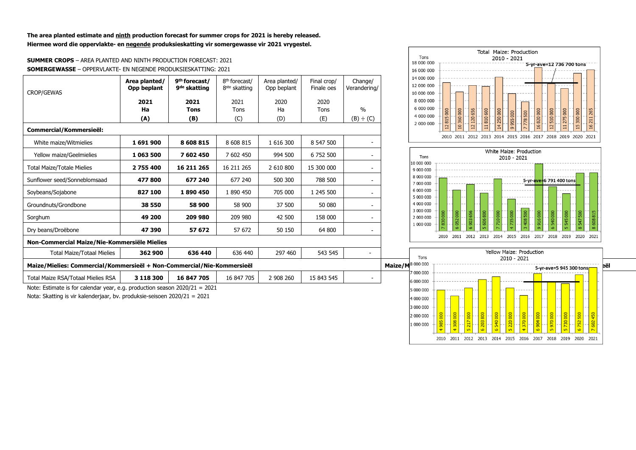**The area planted estimate and ninth production forecast for summer crops for 2021 is hereby released. Hiermee word die oppervlakte- en negende produksieskatting vir somergewasse vir 2021 vrygestel.**

#### **SUMMER CROPS** – AREA PLANTED AND NINTH PRODUCTION FORECAST: 2021 **SOMERGEWASSE** – OPPERVLAKTE- EN NEGENDE PRODUKSIESKATTING: 2021

| <b>CROP/GEWAS</b>                                                      | Area planted/<br>Opp beplant | 9 <sup>th</sup> forecast/<br>9 <sup>de</sup> skatting | 8 <sup>th</sup> forecast/<br>8 <sup>ste</sup> skatting | Area planted/<br>Opp beplant | Final crop/<br>Finale oes | Change/<br>Verandering/ | 14 000 000<br>12 000 000<br>10 000 000 |                                                                                                                                    |
|------------------------------------------------------------------------|------------------------------|-------------------------------------------------------|--------------------------------------------------------|------------------------------|---------------------------|-------------------------|----------------------------------------|------------------------------------------------------------------------------------------------------------------------------------|
|                                                                        | 2021                         | 2021                                                  | 2021                                                   | 2020                         | 2020                      |                         | 8 000 000                              |                                                                                                                                    |
|                                                                        | Ha                           | <b>Tons</b>                                           | Tons                                                   | Ha                           | Tons                      | $\%$                    | 6 000 000                              | 656<br>265                                                                                                                         |
|                                                                        | (A)                          | (B)                                                   | (C)                                                    | (D)                          | (E)                       | (B) ÷ (C)               | 4 000 000<br>2 000 000                 | 360000<br>810 600<br>250 000<br>275000<br>300 000<br>16820000<br>510 000<br>955000<br>778500<br>120 <sub>1</sub><br>$\overline{z}$ |
| Commercial/Kommersieël:                                                |                              |                                                       |                                                        |                              |                           |                         |                                        | $\Omega$<br>$\overline{4}$<br>$\overline{15}$<br>Ξ<br>$\approx$<br>$\overline{\mathbf{c}}$<br>$\sigma$                             |
| White maize/Witmielies                                                 | 1691900                      | 8 608 815                                             | 8 608 815                                              | 1 616 300                    | 8 547 500                 |                         |                                        | 2010 2011 2012 2013 2014 2015 2016 2017 2018 2019 2020 2021                                                                        |
| Yellow maize/Geelmielies                                               | 1 063 500                    | 7 602 450                                             | 7 602 450                                              | 994 500                      | 6 752 500                 |                         | Tons                                   | White Maize: Production<br>2010 - 2021                                                                                             |
| <b>Total Maize/Totale Mielies</b>                                      | 2755400                      | 16 211 265                                            | 16 211 265                                             | 2 610 800                    | 15 300 000                |                         | 10 000 00<br>9 000 000                 |                                                                                                                                    |
| Sunflower seed/Sonneblomsaad                                           | 477800                       | 677 240                                               | 677 240                                                | 500 300                      | 788 500                   |                         | 8 000 000<br>7 000 000                 | 5-yr-ave=6 791 400 tons                                                                                                            |
| Soybeans/Sojabone                                                      | 827 100                      | 1890450                                               | 1 890 450                                              | 705 000                      | 1 245 500                 |                         | 6 000 000<br>5 000 000                 |                                                                                                                                    |
| Groundnuts/Grondbone                                                   | 38 550                       | 58 900                                                | 58 900                                                 | 37 500                       | 50 080                    |                         | 4 000 000<br>3 000 000                 |                                                                                                                                    |
| Sorghum                                                                | 49 200                       | 209 980                                               | 209 980                                                | 42 500                       | 158 000                   |                         | 2 000 000                              | 500<br>710000<br>540000<br>800<br>000<br>6000<br><b>OOO</b><br>$\mathsf{m}$<br>51                                                  |
| Dry beans/Droëbone                                                     | 47 390                       | 57 672                                                | 57 672                                                 | 50 150                       | 64 800                    |                         | 1 000 000                              |                                                                                                                                    |
| Non-Commercial Maize/Nie-Kommersiële Mielies                           |                              |                                                       |                                                        |                              |                           |                         |                                        | 2011 2012 2013 2014 2015 2016 2017 2018 2019 2020 2021<br>2010                                                                     |
| <b>Total Maize/Totaal Mielies</b>                                      | 362 900                      | 636 440                                               | 636 440                                                | 297 460                      | 543 545                   |                         | Tons                                   | Yellow Maize: Production                                                                                                           |
| Maize/Mielies: Commercial/Kommersieël + Non-Commercial/Nie-Kommersieël |                              |                                                       |                                                        |                              |                           |                         | Maize/M8 000 000                       | 2010 - 2021<br>5-yr-ave=5 945 300 tons                                                                                             |
| Total Maize RSA/Totaal Mielies RSA                                     | 3 118 300                    | 16 847 705                                            | 16 847 705                                             | 2 908 260                    | 15 843 545                |                         | 000 000 '<br>000.000                   |                                                                                                                                    |

Note: Estimate is for calendar year, e.g. production season 2020/21 = 2021 Nota: Skatting is vir kalenderjaar, bv. produksie-seisoen 2020/21 = 2021



2010 2011 2012 2013 2014 2015 2016 2017 2018 2019 2020 2021

1 000 000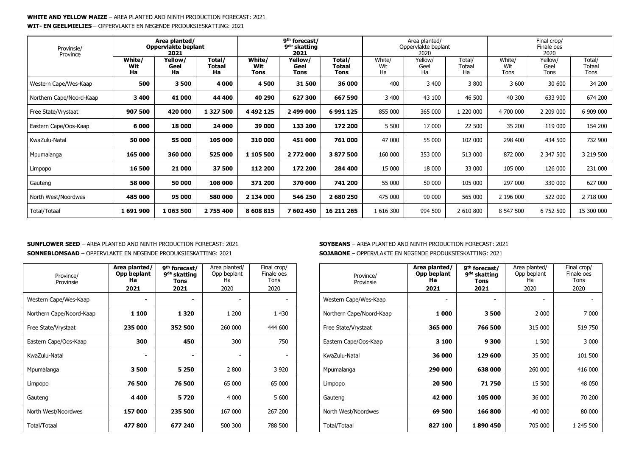#### **WHITE AND YELLOW MAIZE** – AREA PLANTED AND NINTH PRODUCTION FORECAST: 2021 **WIT- EN GEELMIELIES** – OPPERVLAKTE EN NEGENDE PRODUKSIESKATTING: 2021

| Provinsie/               | Area planted/<br>Oppervlakte beplant<br>2021<br>Province |                       |                        | 9 <sup>th</sup> forecast/<br>9 <sup>de</sup> skatting<br>2021 |                         | Area planted/<br>Oppervlakte beplant<br>2020 |                     |                       | Final crop/<br>Finale oes<br>2020 |                       |                         |                          |
|--------------------------|----------------------------------------------------------|-----------------------|------------------------|---------------------------------------------------------------|-------------------------|----------------------------------------------|---------------------|-----------------------|-----------------------------------|-----------------------|-------------------------|--------------------------|
|                          | White/<br>Wit<br>Ha                                      | Yellow/<br>Geel<br>Ha | Total/<br>Totaal<br>Ha | White/<br>Wit<br>Tons                                         | Yellow/<br>Geel<br>Tons | Total/<br>Totaal<br>Tons                     | White/<br>Wit<br>Ha | Yellow/<br>Geel<br>Ha | Total/<br>Totaal<br>Ha            | White/<br>Wit<br>Tons | Yellow/<br>Geel<br>Tons | Total/<br>Totaal<br>Tons |
| Western Cape/Wes-Kaap    | 500                                                      | 3500                  | 4 000                  | 4500                                                          | 31 500                  | 36 000                                       | 400                 | 3 400                 | 3 800                             | 3 600                 | 30 600                  | 34 200                   |
| Northern Cape/Noord-Kaap | 3 4 0 0                                                  | 41 000                | 44 400                 | 40 290                                                        | 627 300                 | 667 590                                      | 3 400               | 43 100                | 46 500                            | 40 300                | 633 900                 | 674 200                  |
| Free State/Vrystaat      | 907 500                                                  | 420 000               | 1 3 2 7 5 0 0          | 4 4 9 2 1 2 5                                                 | 2 499 000               | 6991125                                      | 855 000             | 365 000               | 1 220 000                         | 4 700 000             | 2 209 000               | 6 909 000                |
| Eastern Cape/Oos-Kaap    | 6 0 0 0                                                  | 18 000                | 24 000                 | 39 000                                                        | 133 200                 | 172 200                                      | 5 500               | 17 000                | 22 500                            | 35 200                | 119 000                 | 154 200                  |
| KwaZulu-Natal            | 50 000                                                   | 55 000                | 105 000                | 310 000                                                       | 451 000                 | 761 000                                      | 47 000              | 55 000                | 102 000                           | 298 400               | 434 500                 | 732 900                  |
| Mpumalanga               | 165 000                                                  | 360 000               | 525 000                | 1 105 500                                                     | 2772000                 | 3 877 500                                    | 160 000             | 353 000               | 513 000                           | 872 000               | 2 347 500               | 3 219 500                |
| Limpopo                  | 16 500                                                   | 21 000                | 37 500                 | 112 200                                                       | 172 200                 | 284 400                                      | 15 000              | 18 000                | 33 000                            | 105 000               | 126 000                 | 231 000                  |
| Gauteng                  | 58 000                                                   | 50 000                | 108 000                | 371 200                                                       | 370 000                 | 741 200                                      | 55 000              | 50 000                | 105 000                           | 297 000               | 330 000                 | 627 000                  |
| North West/Noordwes      | 485 000                                                  | 95 000                | 580 000                | 2 134 000                                                     | 546 250                 | 2 680 250                                    | 475 000             | 90 000                | 565 000                           | 2 196 000             | 522 000                 | 2 718 000                |
| Total/Totaal             | 1691900                                                  | 1 063 500             | 2 755 400              | 8 608 815                                                     | 7 602 450               | 16 211 265                                   | 1 616 300           | 994 500               | 2 610 800                         | 8 547 500             | 6 752 500               | 15 300 000               |

#### **SUNFLOWER SEED** – AREA PLANTED AND NINTH PRODUCTION FORECAST: 2021 **SONNEBLOMSAAD** – OPPERVLAKTE EN NEGENDE PRODUKSIESKATTING: 2021

| Province/<br>Provinsie   | Area planted/<br>Opp beplant<br>Ha<br>2021 | 9 <sup>th</sup> forecast/<br>9 <sup>de</sup> skatting<br><b>Tons</b><br>2021 | Area planted/<br>Opp beplant<br>Ha<br>2020 | Final crop/<br>Finale oes<br>Tons<br>2020 |
|--------------------------|--------------------------------------------|------------------------------------------------------------------------------|--------------------------------------------|-------------------------------------------|
| Western Cape/Wes-Kaap    |                                            |                                                                              |                                            |                                           |
| Northern Cape/Noord-Kaap | 1 100                                      | 1 3 2 0                                                                      | 1 200                                      | 1 4 3 0                                   |
| Free State/Vrystaat      | 235 000                                    | 352 500                                                                      | 260 000                                    | 444 600                                   |
| Eastern Cape/Oos-Kaap    | 300                                        | 450                                                                          | 300                                        | 750                                       |
| KwaZulu-Natal            |                                            |                                                                              | $\overline{\phantom{a}}$                   |                                           |
| Mpumalanga               | 3500                                       | 5 2 5 0                                                                      | 2 800                                      | 3 9 20                                    |
| Limpopo                  | 76 500                                     | 76 500                                                                       | 65 000                                     | 65 000                                    |
| Gauteng                  | 4400                                       | 5720                                                                         | 4 000                                      | 5 600                                     |
| North West/Noordwes      | 157 000                                    | 235 500                                                                      | 167 000                                    | 267 200                                   |
| Total/Totaal             | 477800                                     | 677 240                                                                      | 500 300                                    | 788 500                                   |

#### **SOYBEANS** – AREA PLANTED AND NINTH PRODUCTION FORECAST: 2021 **SOJABONE** – OPPERVLAKTE EN NEGENDE PRODUKSIESKATTING: 2021

| Province/<br>Provinsie   | Area planted/<br>Opp beplant<br>Ha<br>2021 | 9 <sup>th</sup> forecast/<br>9 <sup>de</sup> skatting<br>Tons<br>2021 | Area planted/<br>Opp beplant<br>Ha<br>2020 | Final crop/<br>Finale oes<br>Tons<br>2020 |
|--------------------------|--------------------------------------------|-----------------------------------------------------------------------|--------------------------------------------|-------------------------------------------|
| Western Cape/Wes-Kaap    |                                            |                                                                       |                                            |                                           |
| Northern Cape/Noord-Kaap | 1000                                       | 3500                                                                  | 2 0 0 0                                    | 7 000                                     |
| Free State/Vrystaat      | 365 000                                    | 766 500                                                               | 315 000                                    | 519 750                                   |
| Eastern Cape/Oos-Kaap    | 3 100                                      | 9 300                                                                 | 1 500                                      | 3 000                                     |
| KwaZulu-Natal            | 36 000                                     | 129 600                                                               | 35 000                                     | 101 500                                   |
| Mpumalanga               | 290 000                                    | 638 000                                                               | 260 000                                    | 416 000                                   |
| Limpopo                  | 20 500                                     | 71750                                                                 | 15 500                                     | 48 050                                    |
| Gauteng                  | 42 000                                     | 105 000                                                               | 36 000                                     | 70 200                                    |
| North West/Noordwes      | 69 500                                     | 166 800                                                               | 40 000                                     | 80 000                                    |
| <b>Total/Totaal</b>      | 827 100                                    | 1890450                                                               | 705 000                                    | 1 245 500                                 |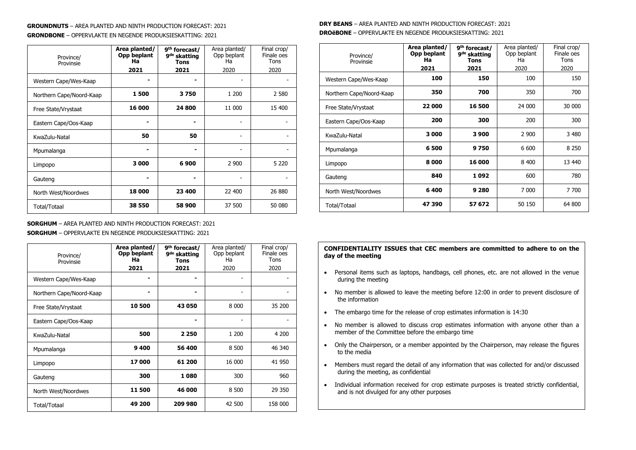# **GROUNDNUTS** – AREA PLANTED AND NINTH PRODUCTION FORECAST: 2021 **GRONDBONE** – OPPERVLAKTE EN NEGENDE PRODUKSIESKATTING: 2021

| Province/<br>Provinsie   | Area planted/<br>Opp beplant<br>Ha<br>2021 | 9 <sup>th</sup> forecast/<br>9 <sup>de</sup> skatting<br><b>Tons</b><br>2021 | Area planted/<br>Opp beplant<br>Ha<br>2020 | Final crop/<br>Finale oes<br>Tons<br>2020 |
|--------------------------|--------------------------------------------|------------------------------------------------------------------------------|--------------------------------------------|-------------------------------------------|
| Western Cape/Wes-Kaap    |                                            |                                                                              |                                            |                                           |
| Northern Cape/Noord-Kaap | 1500                                       | 3750                                                                         | 1 200                                      | 2 5 8 0                                   |
| Free State/Vrystaat      | 16 000                                     | 24 800                                                                       | 11 000                                     | 15 400                                    |
| Eastern Cape/Oos-Kaap    |                                            |                                                                              |                                            |                                           |
| KwaZulu-Natal            | 50                                         | 50                                                                           |                                            |                                           |
| Mpumalanga               |                                            |                                                                              |                                            |                                           |
| Limpopo                  | 3000                                       | 6900                                                                         | 2 9 0 0                                    | 5 2 2 0                                   |
| Gauteng                  |                                            |                                                                              |                                            |                                           |
| North West/Noordwes      | 18 000                                     | 23 400                                                                       | 22 400                                     | 26 880                                    |
| Total/Totaal             | 38 550                                     | 58 900                                                                       | 37 500                                     | 50 080                                    |

#### **SORGHUM** – AREA PLANTED AND NINTH PRODUCTION FORECAST: 2021 **SORGHUM** – OPPERVLAKTE EN NEGENDE PRODUKSIESKATTING: 2021

| Province/<br>Provinsie   | Area planted/<br>Opp beplant<br>Ha<br>2021 | 9 <sup>th</sup> forecast/<br>9 <sup>de</sup> skatting<br><b>Tons</b><br>2021 | Area planted/<br>Opp beplant<br>Ha<br>2020 | Final crop/<br>Finale oes<br>Tons<br>2020 |
|--------------------------|--------------------------------------------|------------------------------------------------------------------------------|--------------------------------------------|-------------------------------------------|
| Western Cape/Wes-Kaap    |                                            |                                                                              |                                            |                                           |
| Northern Cape/Noord-Kaap |                                            |                                                                              | $\overline{a}$                             |                                           |
| Free State/Vrystaat      | 10 500                                     | 43 050                                                                       | 8 0 0 0                                    | 35 200                                    |
| Eastern Cape/Oos-Kaap    |                                            |                                                                              |                                            |                                           |
| KwaZulu-Natal            | 500                                        | 2 2 5 0                                                                      | 1 200                                      | 4 200                                     |
| Mpumalanga               | 9400                                       | 56 400                                                                       | 8 500                                      | 46 340                                    |
| Limpopo                  | 17000                                      | 61 200                                                                       | 16 000                                     | 41 950                                    |
| Gauteng                  | 300                                        | 1080                                                                         | 300                                        | 960                                       |
| North West/Noordwes      | 11 500                                     | 46 000                                                                       | 8 500                                      | 29 350                                    |
| Total/Totaal             | 49 200                                     | 209 980                                                                      | 42 500                                     | 158 000                                   |

# **DRY BEANS** – AREA PLANTED AND NINTH PRODUCTION FORECAST: 2021 **DROëBONE** – OPPERVLAKTE EN NEGENDE PRODUKSIESKATTING: 2021

| Province/<br>Provinsie   | Area planted/<br>Opp beplant<br>Ha<br>2021 | 9 <sup>th</sup> forecast/<br>9 <sup>de</sup> skatting<br><b>Tons</b><br>2021 | Area planted/<br>Opp beplant<br>Ha<br>2020 | Final crop/<br>Finale oes<br>Tons<br>2020 |
|--------------------------|--------------------------------------------|------------------------------------------------------------------------------|--------------------------------------------|-------------------------------------------|
| Western Cape/Wes-Kaap    | 100                                        | 150                                                                          | 100                                        | 150                                       |
| Northern Cape/Noord-Kaap | 350                                        | 700                                                                          | 350                                        | 700                                       |
| Free State/Vrystaat      | 22 000                                     | 16 500                                                                       | 24 000                                     | 30 000                                    |
| Eastern Cape/Oos-Kaap    | 200                                        | 300                                                                          | 200                                        | 300                                       |
| KwaZulu-Natal            | 3 000                                      | 3 9 0 0                                                                      | 2 9 0 0                                    | 3 4 8 0                                   |
| Mpumalanga               | 6 500                                      | 9750                                                                         | 6 600                                      | 8 2 5 0                                   |
| Limpopo                  | 8000                                       | 16 000                                                                       | 8 4 0 0                                    | 13 440                                    |
| Gauteng                  | 840                                        | 1092                                                                         | 600                                        | 780                                       |
| North West/Noordwes      | 6400                                       | 9 2 8 0                                                                      | 7 0 0 0                                    | 7700                                      |
| <b>Total/Totaal</b>      | 47390                                      | 57 672                                                                       | 50 150                                     | 64 800                                    |

#### **CONFIDENTIALITY ISSUES that CEC members are committed to adhere to on the day of the meeting**

- Personal items such as laptops, handbags, cell phones, etc. are not allowed in the venue during the meeting
- No member is allowed to leave the meeting before 12:00 in order to prevent disclosure of the information
- The embargo time for the release of crop estimates information is 14:30
- No member is allowed to discuss crop estimates information with anyone other than a member of the Committee before the embargo time
- Only the Chairperson, or a member appointed by the Chairperson, may release the figures to the media
- Members must regard the detail of any information that was collected for and/or discussed during the meeting, as confidential
- Individual information received for crop estimate purposes is treated strictly confidential, and is not divulged for any other purposes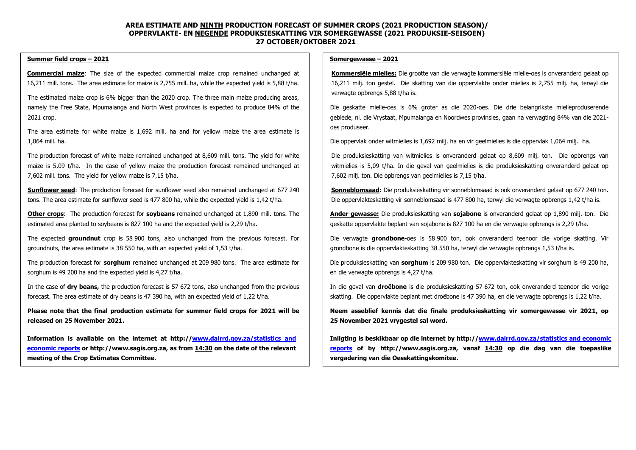#### **AREA ESTIMATE AND NINTH PRODUCTION FORECAST OF SUMMER CROPS (2021 PRODUCTION SEASON)/ OPPERVLAKTE- EN NEGENDE PRODUKSIESKATTING VIR SOMERGEWASSE (2021 PRODUKSIE-SEISOEN) 27 OCTOBER/OKTOBER 2021**

#### **Summer field crops – 2021**

**Commercial maize**: The size of the expected commercial maize crop remained unchanged at 16,211 mill. tons. The area estimate for maize is 2,755 mill. ha, while the expected yield is 5,88 t/ha.

The estimated maize crop is 6% bigger than the 2020 crop. The three main maize producing areas, namely the Free State, Mpumalanga and North West provinces is expected to produce 84% of the 2021 crop.

The area estimate for white maize is 1,692 mill. ha and for yellow maize the area estimate is 1,064 mill. ha.

The production forecast of white maize remained unchanged at 8,609 mill. tons. The yield for white maize is 5,09 t/ha. In the case of yellow maize the production forecast remained unchanged at 7,602 mill. tons. The yield for yellow maize is 7,15 t/ha.

**Sunflower seed**: The production forecast for sunflower seed also remained unchanged at 677 240 tons. The area estimate for sunflower seed is 477 800 ha, while the expected yield is 1,42 t/ha.

**Other crops**: The production forecast for **soybeans** remained unchanged at 1,890 mill. tons. The estimated area planted to soybeans is 827 100 ha and the expected yield is 2,29 t/ha.

The expected **groundnut** crop is 58 900 tons, also unchanged from the previous forecast. For groundnuts, the area estimate is 38 550 ha, with an expected yield of 1,53 t/ha.

The production forecast for **sorghum** remained unchanged at 209 980 tons. The area estimate for sorghum is 49 200 ha and the expected yield is 4,27 t/ha.

In the case of **dry beans,** the production forecast is 57 672 tons, also unchanged from the previous forecast. The area estimate of dry beans is 47 390 ha, with an expected yield of 1,22 t/ha.

**Please note that the final production estimate for summer field crops for 2021 will be released on 25 November 2021.**

**Information is available on the internet at http:/[/www.dalrrd.gov.za/statistics and](http://www.dalrrd.gov.za/statistics%20and%20economic%20reports)  [economic reports](http://www.dalrrd.gov.za/statistics%20and%20economic%20reports) or [http://www.sagis.org.za,](http://www.sagis.org.za/) as from 14:30 on the date of the relevant meeting of the Crop Estimates Committee.**

#### **Somergewasse – 2021**

**Kommersiële mielies:** Die grootte van die verwagte kommersiële mielie-oes is onveranderd gelaat op 16,211 milj. ton gestel. Die skatting van die oppervlakte onder mielies is 2,755 milj. ha, terwyl die verwagte opbrengs 5,88 t/ha is.

Die geskatte mielie-oes is 6% groter as die 2020-oes. Die drie belangrikste mielieproduserende gebiede, nl. die Vrystaat, Mpumalanga en Noordwes provinsies, gaan na verwagting 84% van die 2021 oes produseer.

Die oppervlak onder witmielies is 1,692 milj. ha en vir geelmielies is die oppervlak 1,064 milj. ha.

Die produksieskatting van witmielies is onveranderd gelaat op 8,609 milj. ton. Die opbrengs van witmielies is 5,09 t/ha. In die geval van geelmielies is die produksieskatting onveranderd gelaat op 7,602 milj. ton. Die opbrengs van geelmielies is 7,15 t/ha.

**Sonneblomsaad:** Die produksieskatting vir sonneblomsaad is ook onveranderd gelaat op 677 240 ton. Die oppervlakteskatting vir sonneblomsaad is 477 800 ha, terwyl die verwagte opbrengs 1,42 t/ha is.

**Ander gewasse:** Die produksieskatting van **sojabone** is onveranderd gelaat op 1,890 milj. ton. Die geskatte oppervlakte beplant van sojabone is 827 100 ha en die verwagte opbrengs is 2,29 t/ha.

Die verwagte **grondbone**-oes is 58 900 ton, ook onveranderd teenoor die vorige skatting. Vir grondbone is die oppervlakteskatting 38 550 ha, terwyl die verwagte opbrengs 1,53 t/ha is.

Die produksieskatting van **sorghum** is 209 980 ton. Die oppervlakteskatting vir sorghum is 49 200 ha, en die verwagte opbrengs is 4,27 t/ha.

In die geval van **droëbone** is die produksieskatting 57 672 ton, ook onveranderd teenoor die vorige skatting. Die oppervlakte beplant met droëbone is 47 390 ha, en die verwagte opbrengs is 1,22 t/ha.

**Neem asseblief kennis dat die finale produksieskatting vir somergewasse vir 2021, op 25 November 2021 vrygestel sal word.**

**Inligting is beskikbaar op die internet by http:/[/www.dalrrd.gov.za/statistics and economic](http://www.dalrrd.gov.za/statistics%20and%20economic%20reports)  [reports](http://www.dalrrd.gov.za/statistics%20and%20economic%20reports) of by [http://www.sagis.org.za,](http://www.sagis.org.za/) vanaf 14:30 op die dag van die toepaslike vergadering van die Oesskattingskomitee.**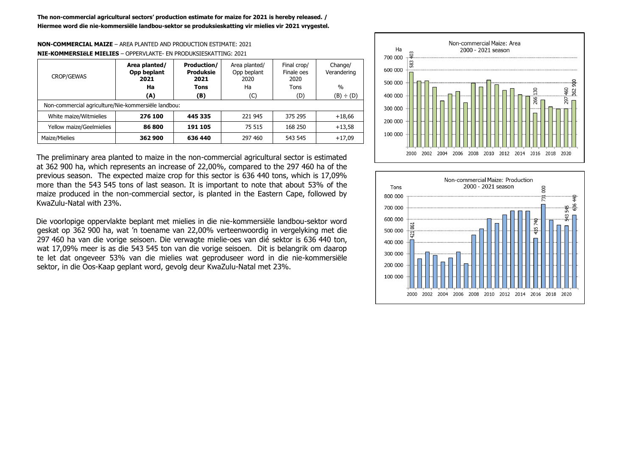# **NON-COMMERCIAL MAIZE** – AREA PLANTED AND PRODUCTION ESTIMATE: 2021 **NIE-KOMMERSIëLE MIELIES** – OPPERVLAKTE- EN PRODUKSIESKATTING: 2021

| <b>CROP/GEWAS</b>                                   | Area planted/<br>Opp beplant<br>2021 | <b>Production/</b><br><b>Produksie</b><br>2021 | Area planted/<br>Opp beplant<br>2020 | Final crop/<br>Finale oes<br>2020 | Change/<br>Verandering |
|-----------------------------------------------------|--------------------------------------|------------------------------------------------|--------------------------------------|-----------------------------------|------------------------|
|                                                     | Ha                                   | <b>Tons</b>                                    | Ha                                   | Tons                              | $\%$                   |
|                                                     | (A)                                  | (B)                                            | (C)                                  | (D)                               | (B) ÷ (D)              |
| Non-commercial agriculture/Nie-kommersiële landbou: |                                      |                                                |                                      |                                   |                        |
| White maize/Witmielies                              | 276 100                              | 445 335                                        | 221 945                              | 375 295                           | $+18,66$               |
| Yellow maize/Geelmielies                            | 86 800                               | 191 105                                        | 75 515                               | 168 250                           | $+13,58$               |
| Maize/Mielies                                       | 362 900                              | 636 440                                        | 297 460                              | 543 545                           | $+17,09$               |



The preliminary area planted to maize in the non-commercial agricultural sector is estimated at 362 900 ha, which represents an increase of 22,00%, compared to the 297 460 ha of the previous season. The expected maize crop for this sector is 636 440 tons, which is 17,09% more than the 543 545 tons of last season. It is important to note that about 53% of the maize produced in the non-commercial sector, is planted in the Eastern Cape, followed by KwaZulu-Natal with 23%.

Die voorlopige oppervlakte beplant met mielies in die nie-kommersiële landbou-sektor word geskat op 362 900 ha, wat 'n toename van 22,00% verteenwoordig in vergelyking met die 297 460 ha van die vorige seisoen. Die verwagte mielie-oes van dié sektor is 636 440 ton, wat 17,09% meer is as die 543 545 ton van die vorige seisoen. Dit is belangrik om daarop te let dat ongeveer 53% van die mielies wat geproduseer word in die nie-kommersiële sektor, in die Oos-Kaap geplant word, gevolg deur KwaZulu-Natal met 23%.

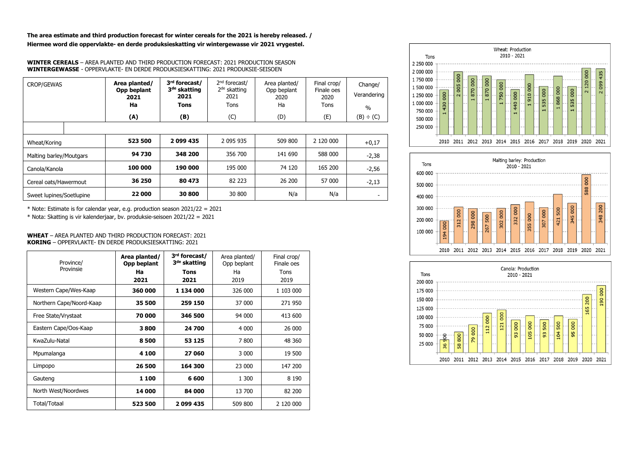**The area estimate and third production forecast for winter cereals for the 2021 is hereby released. / Hiermee word die oppervlakte- en derde produksieskatting vir wintergewasse vir 2021 vrygestel.**

**WINTER CEREALS** – AREA PLANTED AND THIRD PRODUCTION FORECAST: 2021 PRODUCTION SEASON **WINTERGEWASSE** - OPPERVLAKTE- EN DERDE PRODUKSIESKATTING: 2021 PRODUKSIE-SEISOEN

| CROP/GEWAS               | Area planted/<br>Opp beplant<br>2021<br>Ha | 3rd forecast/<br>3 <sup>de</sup> skatting<br>2021<br>Tons | 2 <sup>nd</sup> forecast/<br>$2de$ skatting<br>2021<br>Tons | Area planted/<br>Opp beplant<br>2020<br>Ha | Final crop/<br>Finale oes<br>2020<br>Tons | Change/<br>Verandering<br>$\frac{0}{0}$ |
|--------------------------|--------------------------------------------|-----------------------------------------------------------|-------------------------------------------------------------|--------------------------------------------|-------------------------------------------|-----------------------------------------|
|                          | (A)                                        | (B)                                                       | (C)                                                         | (D)                                        | (E)                                       | (B) ÷ (C)                               |
|                          |                                            |                                                           |                                                             |                                            |                                           |                                         |
| Wheat/Koring             | 523 500                                    | 2099435                                                   | 2 095 935                                                   | 509 800                                    | 2 120 000                                 | $+0,17$                                 |
| Malting barley/Moutgars  | 94730                                      | 348 200                                                   | 356 700                                                     | 141 690                                    | 588 000                                   | $-2,38$                                 |
| Canola/Kanola            | 100 000                                    | 190 000                                                   | 195 000                                                     | 74 120                                     | 165 200                                   | $-2,56$                                 |
| Cereal oats/Hawermout    | 36 250                                     | 80 473                                                    | 82 223                                                      | 26 200                                     | 57 000                                    | $-2,13$                                 |
| Sweet lupines/Soetlupine | 22 000                                     | 30 800                                                    | 30 800                                                      | N/a                                        | N/a                                       |                                         |

\* Note: Estimate is for calendar year, e.g. production season 2021/22 = 2021

\* Nota: Skatting is vir kalenderjaar, bv. produksie-seisoen 2021/22 = 2021

#### **WHEAT** – AREA PLANTED AND THIRD PRODUCTION FORECAST: 2021 **KORING** – OPPERVLAKTE- EN DERDE PRODUKSIESKATTING: 2021

| Province/<br>Provinsie   | Area planted/<br>Opp beplant<br>Ha<br>2021 | 3 <sup>rd</sup> forecast/<br>3 <sup>de</sup> skatting<br>Tons<br>2021 | Area planted/<br>Opp beplant<br>Ha<br>2019 | Final crop/<br>Finale oes<br>Tons<br>2019 |
|--------------------------|--------------------------------------------|-----------------------------------------------------------------------|--------------------------------------------|-------------------------------------------|
| Western Cape/Wes-Kaap    | 360 000                                    | 1 134 000                                                             | 326 000                                    | 1 103 000                                 |
| Northern Cape/Noord-Kaap | 35 500                                     | 259 150                                                               | 37 000                                     | 271 950                                   |
| Free State/Vrystaat      | 70 000                                     | 346 500                                                               | 94 000                                     | 413 600                                   |
| Eastern Cape/Oos-Kaap    | 3800                                       | 24 700                                                                | 4 0 0 0                                    | 26 000                                    |
| KwaZulu-Natal            | 8500                                       | 53 1 25                                                               | 7800                                       | 48 360                                    |
| Mpumalanga               | 4 100                                      | 27060                                                                 | 3 000                                      | 19 500                                    |
| Limpopo                  | 26 500                                     | 164 300                                                               | 23 000                                     | 147 200                                   |
| Gauteng                  | 1 100                                      | 6 600                                                                 | 1 300                                      | 8 1 9 0                                   |
| North West/Noordwes      | 14 000                                     | 84 000                                                                | 13 700                                     | 82 200                                    |
| Total/Totaal             | 523 500                                    | 2099435                                                               | 509 800                                    | 2 120 000                                 |